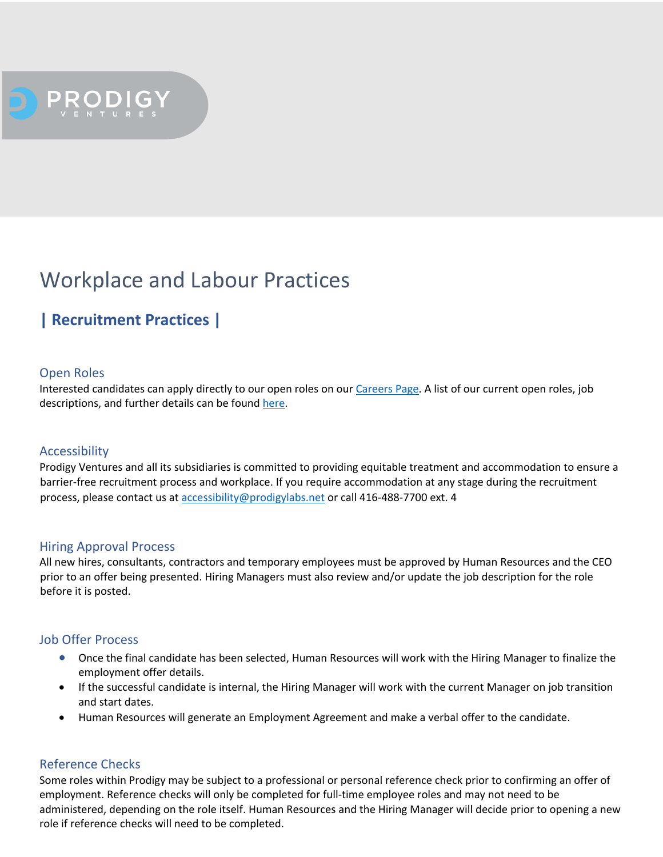

# Workplace and Labour Practices

# **| Recruitment Practices |**

# Open Roles

Interested candidates can apply directly to our open roles on our Careers Page. A list of our current open roles, job descriptions, and further details can be found here.

### Accessibility

Prodigy Ventures and all its subsidiaries is committed to providing equitable treatment and accommodation to ensure a barrier-free recruitment process and workplace. If you require accommodation at any stage during the recruitment process, please contact us at accessibility@prodigylabs.net or call 416-488-7700 ext. 4

### Hiring Approval Process

All new hires, consultants, contractors and temporary employees must be approved by Human Resources and the CEO prior to an offer being presented. Hiring Managers must also review and/or update the job description for the role before it is posted.

### Job Offer Process

- Once the final candidate has been selected, Human Resources will work with the Hiring Manager to finalize the employment offer details.
- If the successful candidate is internal, the Hiring Manager will work with the current Manager on job transition and start dates.
- Human Resources will generate an Employment Agreement and make a verbal offer to the candidate.

# Reference Checks

Some roles within Prodigy may be subject to a professional or personal reference check prior to confirming an offer of employment. Reference checks will only be completed for full-time employee roles and may not need to be administered, depending on the role itself. Human Resources and the Hiring Manager will decide prior to opening a new role if reference checks will need to be completed.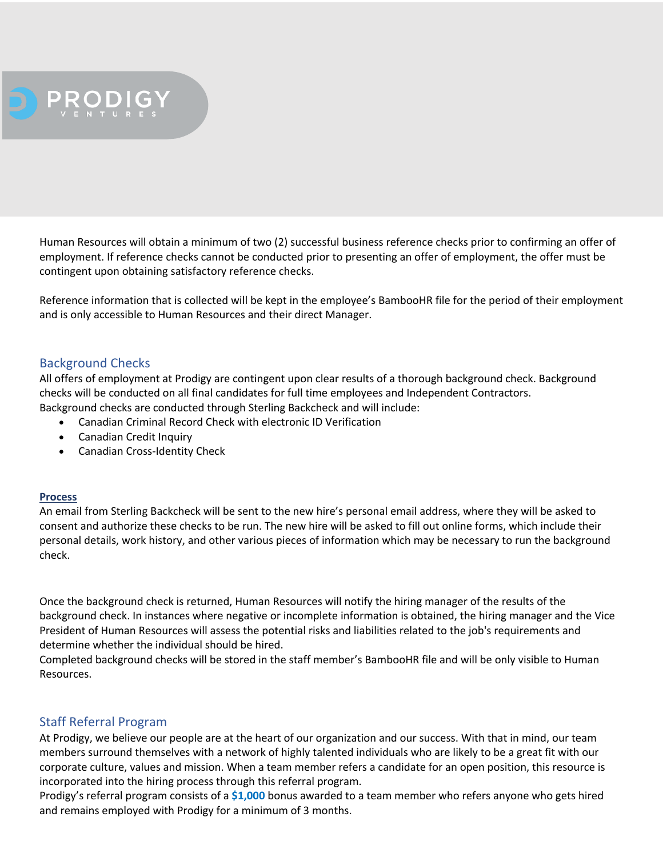

Human Resources will obtain a minimum of two (2) successful business reference checks prior to confirming an offer of employment. If reference checks cannot be conducted prior to presenting an offer of employment, the offer must be contingent upon obtaining satisfactory reference checks.

Reference information that is collected will be kept in the employee's BambooHR file for the period of their employment and is only accessible to Human Resources and their direct Manager.

# Background Checks

All offers of employment at Prodigy are contingent upon clear results of a thorough background check. Background checks will be conducted on all final candidates for full time employees and Independent Contractors. Background checks are conducted through Sterling Backcheck and will include:

• Canadian Criminal Record Check with electronic ID Verification

- Canadian Credit Inquiry
- Canadian Cross-Identity Check

### **Process**

An email from Sterling Backcheck will be sent to the new hire's personal email address, where they will be asked to consent and authorize these checks to be run. The new hire will be asked to fill out online forms, which include their personal details, work history, and other various pieces of information which may be necessary to run the background check.

Once the background check is returned, Human Resources will notify the hiring manager of the results of the background check. In instances where negative or incomplete information is obtained, the hiring manager and the Vice President of Human Resources will assess the potential risks and liabilities related to the job's requirements and determine whether the individual should be hired.

Completed background checks will be stored in the staff member's BambooHR file and will be only visible to Human Resources.

# Staff Referral Program

At Prodigy, we believe our people are at the heart of our organization and our success. With that in mind, our team members surround themselves with a network of highly talented individuals who are likely to be a great fit with our corporate culture, values and mission. When a team member refers a candidate for an open position, this resource is incorporated into the hiring process through this referral program.

Prodigy's referral program consists of a **\$1,000** bonus awarded to a team member who refers anyone who gets hired and remains employed with Prodigy for a minimum of 3 months.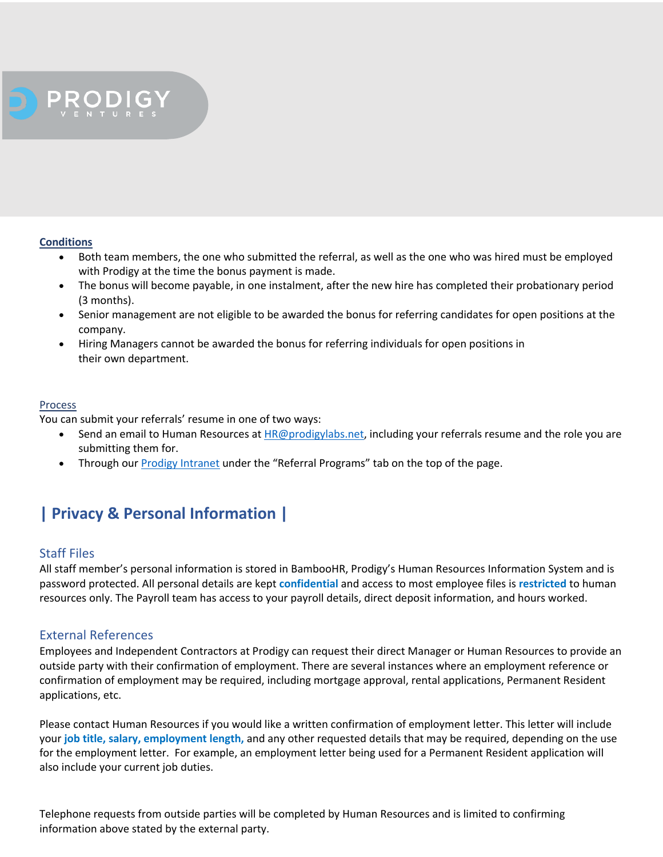

#### **Conditions**

- Both team members, the one who submitted the referral, as well as the one who was hired must be employed with Prodigy at the time the bonus payment is made.
- The bonus will become payable, in one instalment, after the new hire has completed their probationary period (3 months).
- Senior management are not eligible to be awarded the bonus for referring candidates for open positions at the company.
- Hiring Managers cannot be awarded the bonus for referring individuals for open positions in their own department.

#### Process

You can submit your referrals' resume in one of two ways:

- Send an email to Human Resources at *HR@prodigylabs.net*, including your referrals resume and the role you are submitting them for.
- Through our Prodigy Intranet under the "Referral Programs" tab on the top of the page.

# **| Privacy & Personal Information |**

# Staff Files

All staff member's personal information is stored in BambooHR, Prodigy's Human Resources Information System and is password protected. All personal details are kept **confidential** and access to most employee files is **restricted** to human resources only. The Payroll team has access to your payroll details, direct deposit information, and hours worked.

# External References

Employees and Independent Contractors at Prodigy can request their direct Manager or Human Resources to provide an outside party with their confirmation of employment. There are several instances where an employment reference or confirmation of employment may be required, including mortgage approval, rental applications, Permanent Resident applications, etc.

Please contact Human Resources if you would like a written confirmation of employment letter. This letter will include your **job title, salary, employment length,** and any other requested details that may be required, depending on the use for the employment letter. For example, an employment letter being used for a Permanent Resident application will also include your current job duties.

Telephone requests from outside parties will be completed by Human Resources and is limited to confirming information above stated by the external party.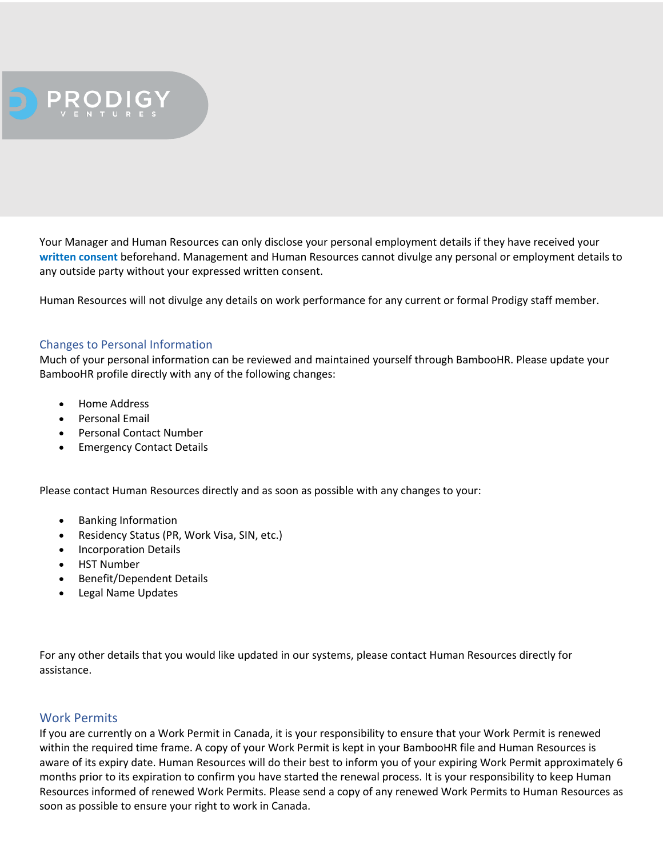

Your Manager and Human Resources can only disclose your personal employment details if they have received your **written consent** beforehand. Management and Human Resources cannot divulge any personal or employment details to any outside party without your expressed written consent.

Human Resources will not divulge any details on work performance for any current or formal Prodigy staff member.

### Changes to Personal Information

Much of your personal information can be reviewed and maintained yourself through BambooHR. Please update your BambooHR profile directly with any of the following changes:

- Home Address
- Personal Email
- Personal Contact Number
- Emergency Contact Details

Please contact Human Resources directly and as soon as possible with any changes to your:

- Banking Information
- Residency Status (PR, Work Visa, SIN, etc.)
- Incorporation Details
- HST Number
- Benefit/Dependent Details
- Legal Name Updates

For any other details that you would like updated in our systems, please contact Human Resources directly for assistance.

### Work Permits

If you are currently on a Work Permit in Canada, it is your responsibility to ensure that your Work Permit is renewed within the required time frame. A copy of your Work Permit is kept in your BambooHR file and Human Resources is aware of its expiry date. Human Resources will do their best to inform you of your expiring Work Permit approximately 6 months prior to its expiration to confirm you have started the renewal process. It is your responsibility to keep Human Resources informed of renewed Work Permits. Please send a copy of any renewed Work Permits to Human Resources as soon as possible to ensure your right to work in Canada.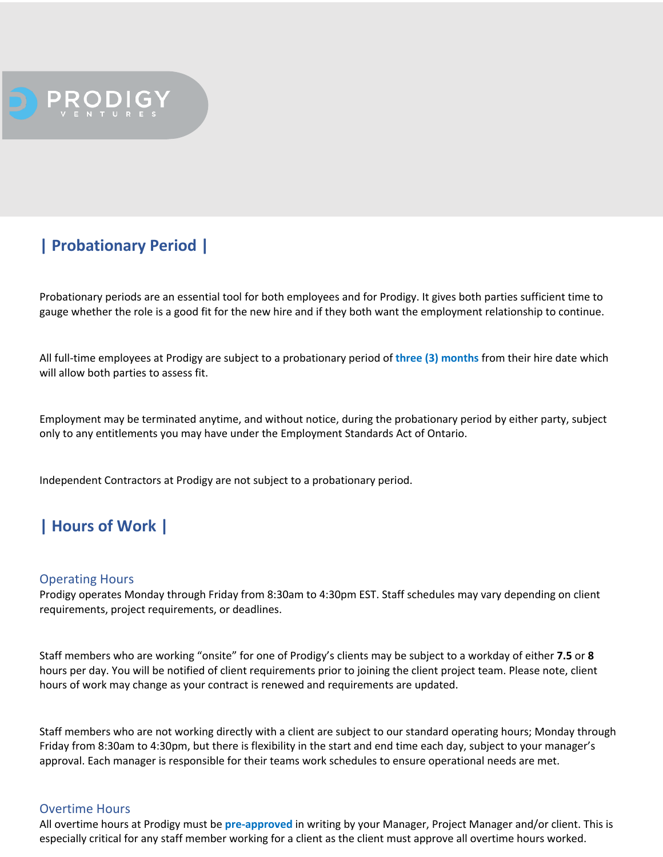

# **| Probationary Period |**

Probationary periods are an essential tool for both employees and for Prodigy. It gives both parties sufficient time to gauge whether the role is a good fit for the new hire and if they both want the employment relationship to continue.

All full-time employees at Prodigy are subject to a probationary period of **three (3) months** from their hire date which will allow both parties to assess fit.

Employment may be terminated anytime, and without notice, during the probationary period by either party, subject only to any entitlements you may have under the Employment Standards Act of Ontario.

Independent Contractors at Prodigy are not subject to a probationary period.

# **| Hours of Work |**

### Operating Hours

Prodigy operates Monday through Friday from 8:30am to 4:30pm EST. Staff schedules may vary depending on client requirements, project requirements, or deadlines.

Staff members who are working "onsite" for one of Prodigy's clients may be subject to a workday of either **7.5** or **8**  hours per day. You will be notified of client requirements prior to joining the client project team. Please note, client hours of work may change as your contract is renewed and requirements are updated.

Staff members who are not working directly with a client are subject to our standard operating hours; Monday through Friday from 8:30am to 4:30pm, but there is flexibility in the start and end time each day, subject to your manager's approval. Each manager is responsible for their teams work schedules to ensure operational needs are met.

### Overtime Hours

All overtime hours at Prodigy must be **pre-approved** in writing by your Manager, Project Manager and/or client. This is especially critical for any staff member working for a client as the client must approve all overtime hours worked.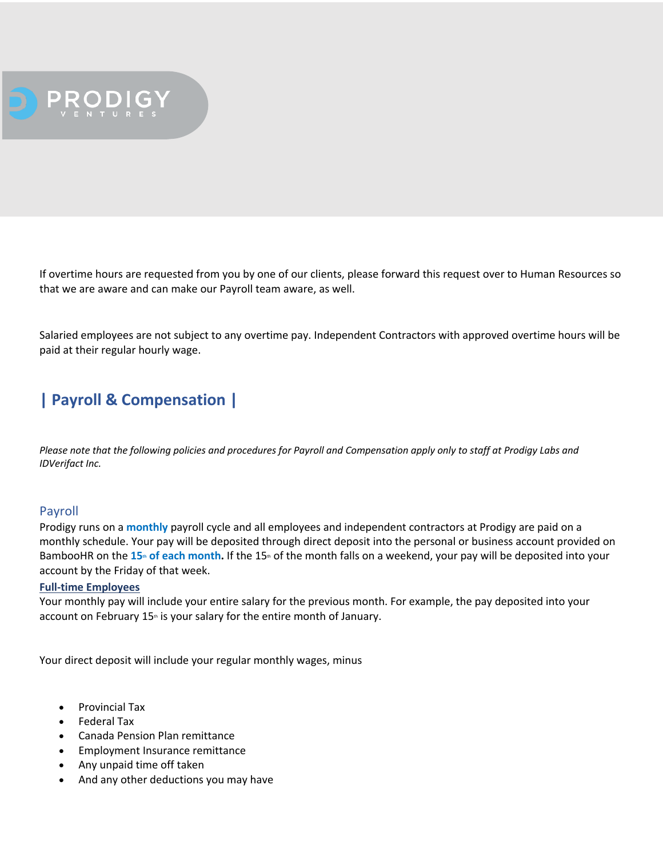

If overtime hours are requested from you by one of our clients, please forward this request over to Human Resources so that we are aware and can make our Payroll team aware, as well.

Salaried employees are not subject to any overtime pay. Independent Contractors with approved overtime hours will be paid at their regular hourly wage.

# **| Payroll & Compensation |**

*Please note that the following policies and procedures for Payroll and Compensation apply only to staff at Prodigy Labs and IDVerifact Inc.*

# Payroll

Prodigy runs on a **monthly** payroll cycle and all employees and independent contractors at Prodigy are paid on a monthly schedule. Your pay will be deposited through direct deposit into the personal or business account provided on BambooHR on the 15<sup>th</sup> of each month. If the 15<sup>th</sup> of the month falls on a weekend, your pay will be deposited into your account by the Friday of that week.

### **Full-time Employees**

Your monthly pay will include your entire salary for the previous month. For example, the pay deposited into your account on February  $15<sub>th</sub>$  is your salary for the entire month of January.

Your direct deposit will include your regular monthly wages, minus

- Provincial Tax
- Federal Tax
- Canada Pension Plan remittance
- Employment Insurance remittance
- Any unpaid time off taken
- And any other deductions you may have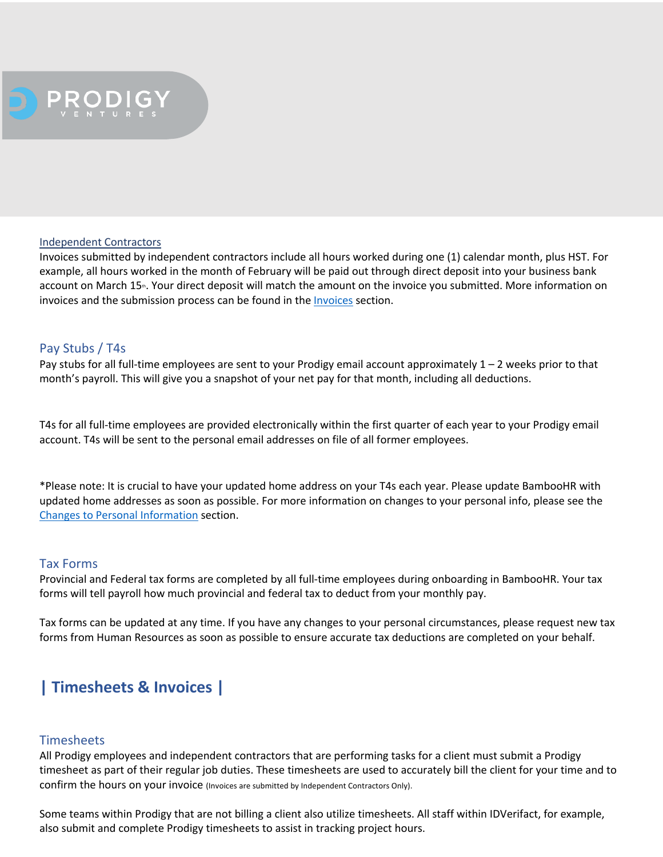

#### Independent Contractors

Invoices submitted by independent contractors include all hours worked during one (1) calendar month, plus HST. For example, all hours worked in the month of February will be paid out through direct deposit into your business bank account on March 15<sup>th</sup>. Your direct deposit will match the amount on the invoice you submitted. More information on invoices and the submission process can be found in the Invoices section.

# Pay Stubs / T4s

Pay stubs for all full-time employees are sent to your Prodigy email account approximately  $1 - 2$  weeks prior to that month's payroll. This will give you a snapshot of your net pay for that month, including all deductions.

T4s for all full-time employees are provided electronically within the first quarter of each year to your Prodigy email account. T4s will be sent to the personal email addresses on file of all former employees.

\*Please note: It is crucial to have your updated home address on your T4s each year. Please update BambooHR with updated home addresses as soon as possible. For more information on changes to your personal info, please see the Changes to Personal Information section.

### Tax Forms

Provincial and Federal tax forms are completed by all full-time employees during onboarding in BambooHR. Your tax forms will tell payroll how much provincial and federal tax to deduct from your monthly pay.

Tax forms can be updated at any time. If you have any changes to your personal circumstances, please request new tax forms from Human Resources as soon as possible to ensure accurate tax deductions are completed on your behalf.

# **| Timesheets & Invoices |**

### **Timesheets**

All Prodigy employees and independent contractors that are performing tasks for a client must submit a Prodigy timesheet as part of their regular job duties. These timesheets are used to accurately bill the client for your time and to confirm the hours on your invoice (Invoices are submitted by Independent Contractors Only).

Some teams within Prodigy that are not billing a client also utilize timesheets. All staff within IDVerifact, for example, also submit and complete Prodigy timesheets to assist in tracking project hours.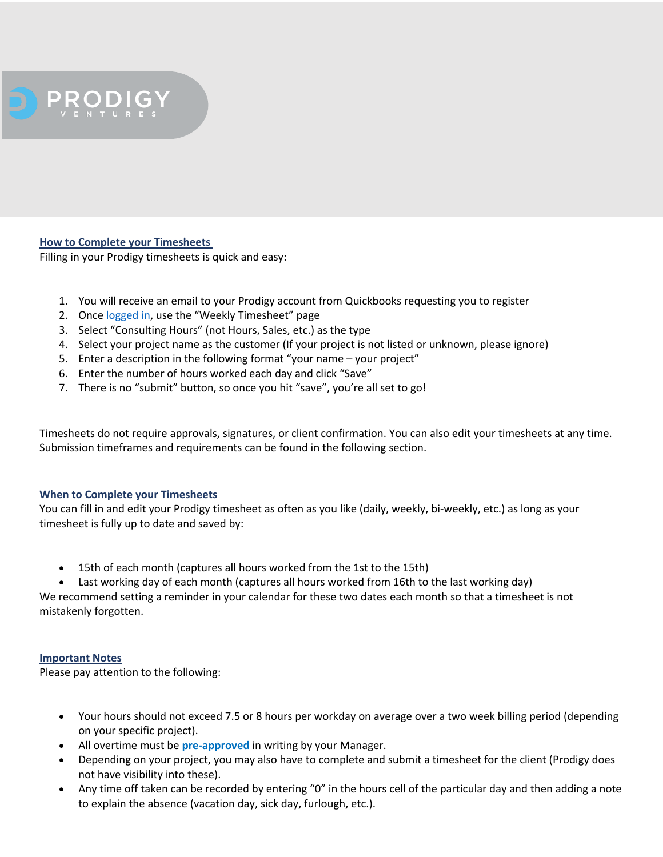

# **How to Complete your Timesheets**

Filling in your Prodigy timesheets is quick and easy:

- 1. You will receive an email to your Prodigy account from Quickbooks requesting you to register
- 2. Once logged in, use the "Weekly Timesheet" page
- 3. Select "Consulting Hours" (not Hours, Sales, etc.) as the type
- 4. Select your project name as the customer (If your project is not listed or unknown, please ignore)
- 5. Enter a description in the following format "your name your project"
- 6. Enter the number of hours worked each day and click "Save"
- 7. There is no "submit" button, so once you hit "save", you're all set to go!

Timesheets do not require approvals, signatures, or client confirmation. You can also edit your timesheets at any time. Submission timeframes and requirements can be found in the following section.

### **When to Complete your Timesheets**

You can fill in and edit your Prodigy timesheet as often as you like (daily, weekly, bi-weekly, etc.) as long as your timesheet is fully up to date and saved by:

• 15th of each month (captures all hours worked from the 1st to the 15th)

Last working day of each month (captures all hours worked from 16th to the last working day) We recommend setting a reminder in your calendar for these two dates each month so that a timesheet is not mistakenly forgotten.

### **Important Notes**

Please pay attention to the following:

- Your hours should not exceed 7.5 or 8 hours per workday on average over a two week billing period (depending on your specific project).
- All overtime must be **pre-approved** in writing by your Manager.
- Depending on your project, you may also have to complete and submit a timesheet for the client (Prodigy does not have visibility into these).
- Any time off taken can be recorded by entering "0" in the hours cell of the particular day and then adding a note to explain the absence (vacation day, sick day, furlough, etc.).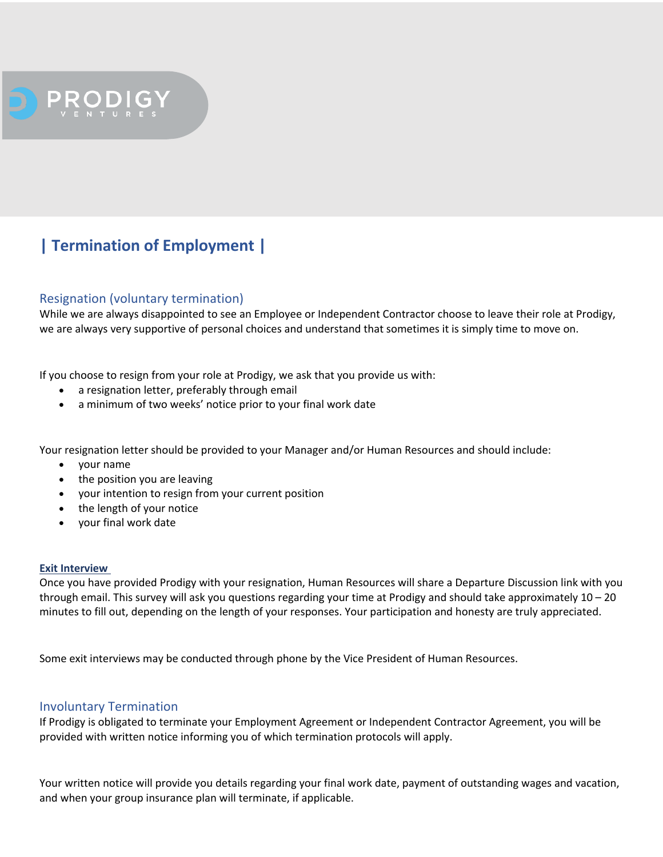

# **| Termination of Employment |**

# Resignation (voluntary termination)

While we are always disappointed to see an Employee or Independent Contractor choose to leave their role at Prodigy, we are always very supportive of personal choices and understand that sometimes it is simply time to move on.

If you choose to resign from your role at Prodigy, we ask that you provide us with:

- a resignation letter, preferably through email
- a minimum of two weeks' notice prior to your final work date

Your resignation letter should be provided to your Manager and/or Human Resources and should include:

- your name
- the position you are leaving
- your intention to resign from your current position
- the length of your notice
- your final work date

### **Exit Interview**

Once you have provided Prodigy with your resignation, Human Resources will share a Departure Discussion link with you through email. This survey will ask you questions regarding your time at Prodigy and should take approximately 10 – 20 minutes to fill out, depending on the length of your responses. Your participation and honesty are truly appreciated.

Some exit interviews may be conducted through phone by the Vice President of Human Resources.

# Involuntary Termination

If Prodigy is obligated to terminate your Employment Agreement or Independent Contractor Agreement, you will be provided with written notice informing you of which termination protocols will apply.

Your written notice will provide you details regarding your final work date, payment of outstanding wages and vacation, and when your group insurance plan will terminate, if applicable.